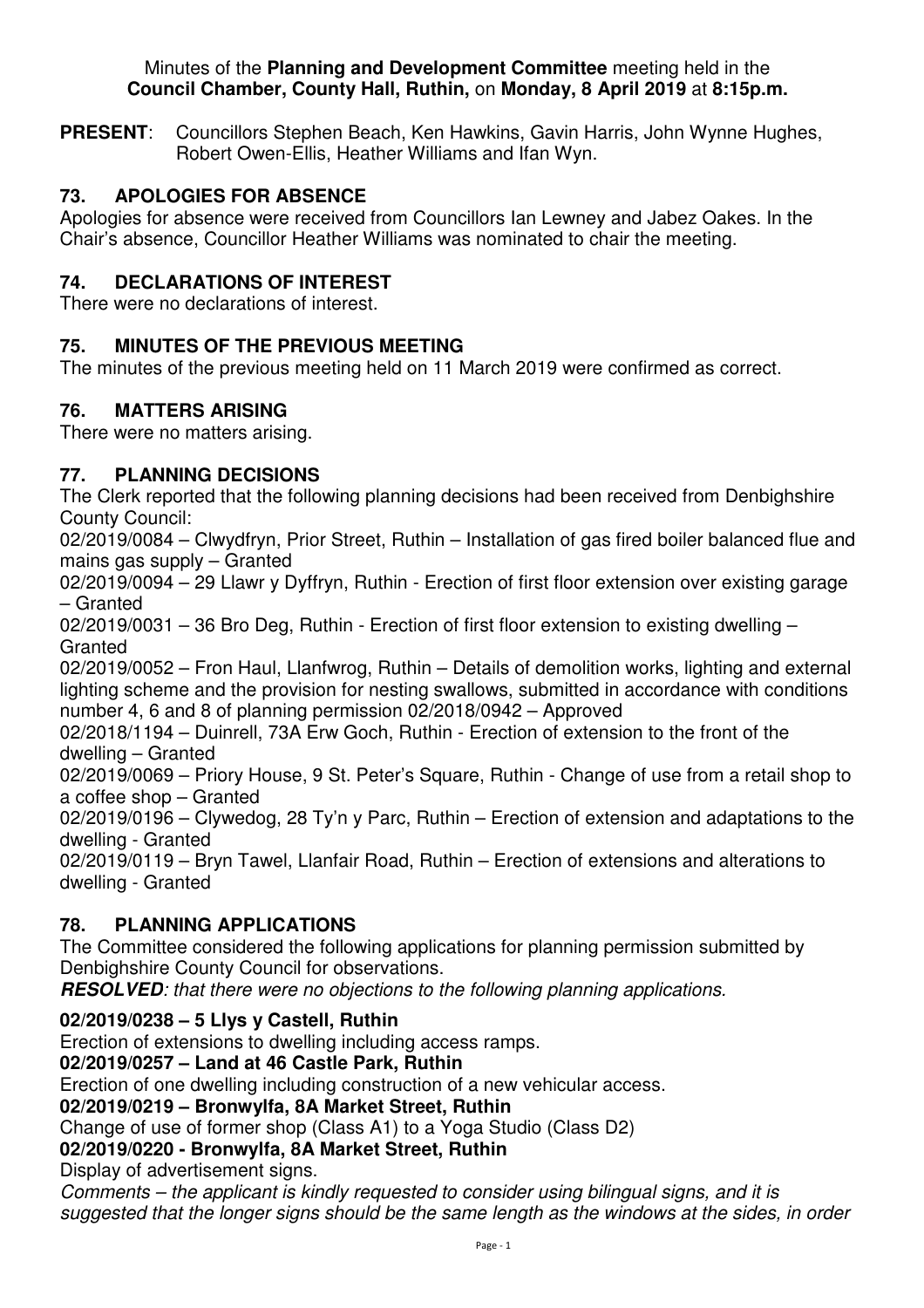#### Minutes of the **Planning and Development Committee** meeting held in the **Council Chamber, County Hall, Ruthin,** on **Monday, 8 April 2019** at **8:15p.m.**

**PRESENT**: Councillors Stephen Beach, Ken Hawkins, Gavin Harris, John Wynne Hughes, Robert Owen-Ellis, Heather Williams and Ifan Wyn.

# **73. APOLOGIES FOR ABSENCE**

Apologies for absence were received from Councillors Ian Lewney and Jabez Oakes. In the Chair's absence, Councillor Heather Williams was nominated to chair the meeting.

# **74. DECLARATIONS OF INTEREST**

There were no declarations of interest.

# **75. MINUTES OF THE PREVIOUS MEETING**

The minutes of the previous meeting held on 11 March 2019 were confirmed as correct.

### **76. MATTERS ARISING**

There were no matters arising.

### **77. PLANNING DECISIONS**

The Clerk reported that the following planning decisions had been received from Denbighshire County Council:

02/2019/0084 – Clwydfryn, Prior Street, Ruthin – Installation of gas fired boiler balanced flue and mains gas supply – Granted

02/2019/0094 – 29 Llawr y Dyffryn, Ruthin - Erection of first floor extension over existing garage – Granted

02/2019/0031 – 36 Bro Deg, Ruthin - Erection of first floor extension to existing dwelling – **Granted** 

02/2019/0052 – Fron Haul, Llanfwrog, Ruthin – Details of demolition works, lighting and external lighting scheme and the provision for nesting swallows, submitted in accordance with conditions number 4, 6 and 8 of planning permission 02/2018/0942 – Approved

02/2018/1194 – Duinrell, 73A Erw Goch, Ruthin - Erection of extension to the front of the dwelling – Granted

02/2019/0069 – Priory House, 9 St. Peter's Square, Ruthin - Change of use from a retail shop to a coffee shop – Granted

02/2019/0196 – Clywedog, 28 Ty'n y Parc, Ruthin – Erection of extension and adaptations to the dwelling - Granted

02/2019/0119 – Bryn Tawel, Llanfair Road, Ruthin – Erection of extensions and alterations to dwelling - Granted

### **78. PLANNING APPLICATIONS**

The Committee considered the following applications for planning permission submitted by Denbighshire County Council for observations.

**RESOLVED***: that there were no objections to the following planning applications.* 

#### **02/2019/0238 – 5 Llys y Castell, Ruthin**

Erection of extensions to dwelling including access ramps.

### **02/2019/0257 – Land at 46 Castle Park, Ruthin**

Erection of one dwelling including construction of a new vehicular access.

### **02/2019/0219 – Bronwylfa, 8A Market Street, Ruthin**

Change of use of former shop (Class A1) to a Yoga Studio (Class D2)

# **02/2019/0220 - Bronwylfa, 8A Market Street, Ruthin**

Display of advertisement signs.

*Comments – the applicant is kindly requested to consider using bilingual signs, and it is suggested that the longer signs should be the same length as the windows at the sides, in order*